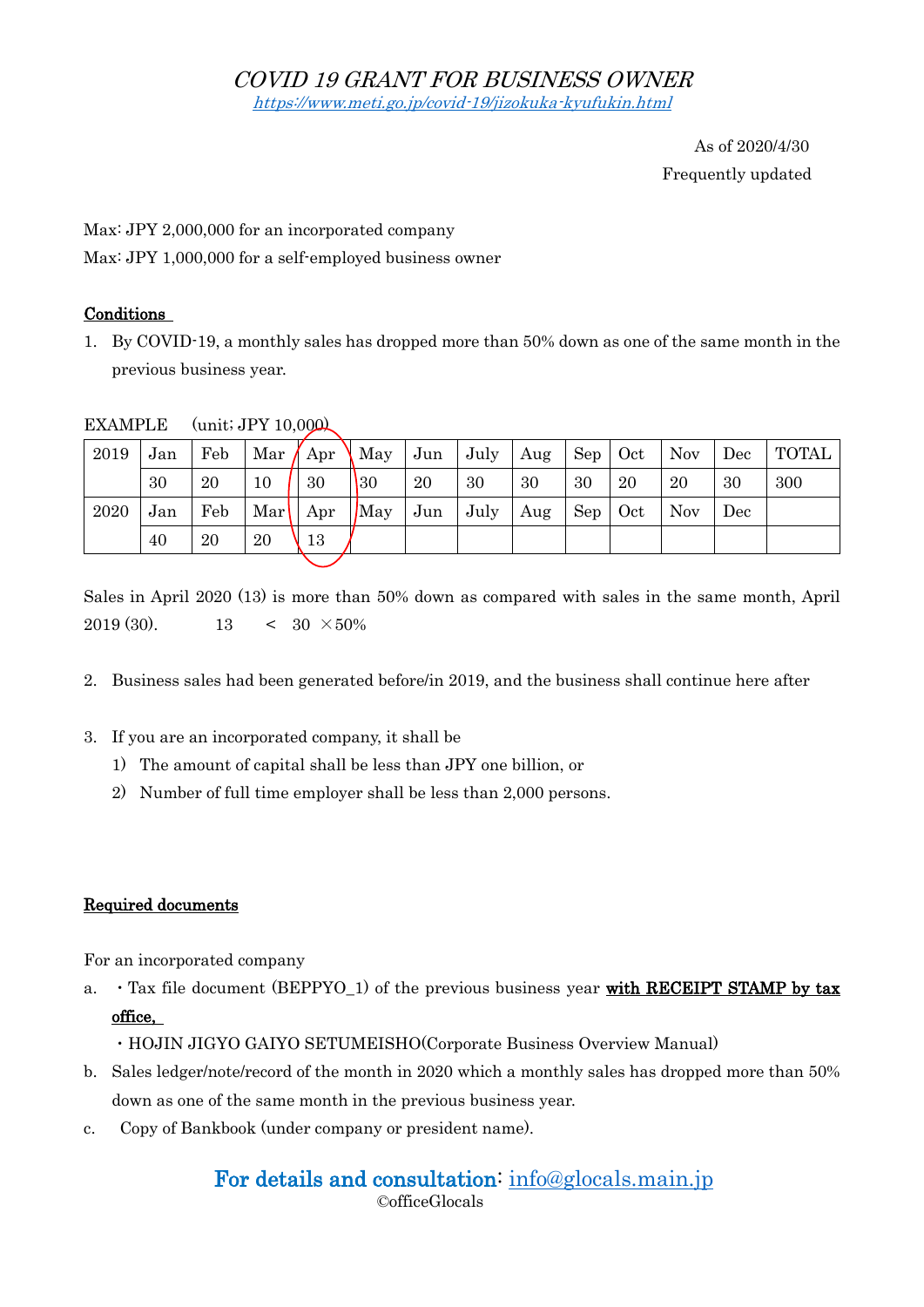As of 2020/4/30 Frequently updated

Max: JPY 2,000,000 for an incorporated company

Max: JPY 1,000,000 for a self-employed business owner

### Conditions

1. By COVID-19, a monthly sales has dropped more than 50% down as one of the same month in the previous business year.

| 2019 | Jan | Feb | $\vert$ Mar $\vert$ Apr                      |             | $\operatorname{May}$ | Jun | $July$ Aug |     | Sep | Oct | Nov        | Dec | <b>TOTAL</b> |
|------|-----|-----|----------------------------------------------|-------------|----------------------|-----|------------|-----|-----|-----|------------|-----|--------------|
|      | 30  | 20  | 10                                           | 30          | $ 30\rangle$         | 20  | 30         | 30  | 30  | 20  | 20         | 30  | 300          |
| 2020 | Jan | Feb | $\operatorname{Mar} \mid \operatorname{Apr}$ |             | $\log$               | Jun | July       | Aug | Sep | Oct | <b>Nov</b> | Dec |              |
|      | 40  | 20  | 20                                           | $\sqrt{13}$ |                      |     |            |     |     |     |            |     |              |
|      |     |     |                                              |             |                      |     |            |     |     |     |            |     |              |

EXAMPLE (unit; JPY 10,000)

Sales in April 2020 (13) is more than 50% down as compared with sales in the same month, April  $2019(30)$  13 < 30 ×50%

- 2. Business sales had been generated before/in 2019, and the business shall continue here after
- 3. If you are an incorporated company, it shall be
	- 1) The amount of capital shall be less than JPY one billion, or
	- 2) Number of full time employer shall be less than 2,000 persons.

## Required documents

For an incorporated company

- a.  $\cdot$  Tax file document (BEPPYO<sub>-1</sub>) of the previous business year with RECEIPT STAMP by tax office,
	- ・HOJIN JIGYO GAIYO SETUMEISHO(Corporate Business Overview Manual)
- b. Sales ledger/note/record of the month in 2020 which a monthly sales has dropped more than 50% down as one of the same month in the previous business year.
- c. Copy of Bankbook (under company or president name).

# For details and consultation: [info@glocals.main.jp](mailto:info@glocals.main.jp)

©officeGlocals